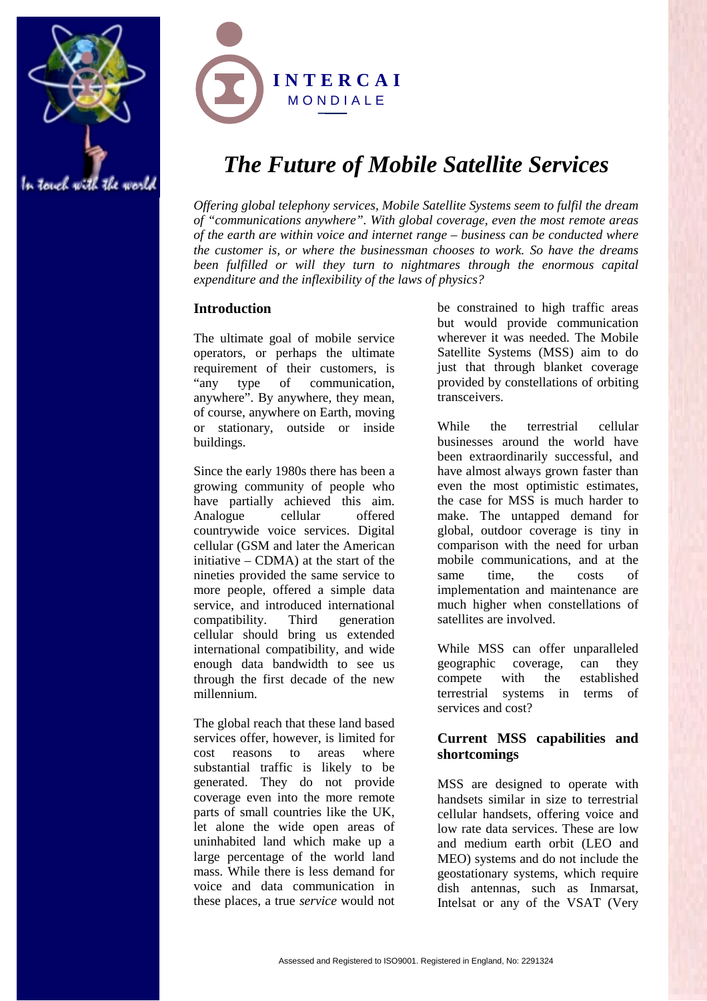



# *The Future of Mobile Satellite Services*

*Offering global telephony services, Mobile Satellite Systems seem to fulfil the dream of "communications anywhere". With global coverage, even the most remote areas of the earth are within voice and internet range – business can be conducted where the customer is, or where the businessman chooses to work. So have the dreams been fulfilled or will they turn to nightmares through the enormous capital expenditure and the inflexibility of the laws of physics?*

# **Introduction**

The ultimate goal of mobile service operators, or perhaps the ultimate requirement of their customers, is "any type of communication, anywhere". By anywhere, they mean, of course, anywhere on Earth, moving or stationary, outside or inside buildings.

Since the early 1980s there has been a growing community of people who have partially achieved this aim. Analogue cellular offered countrywide voice services. Digital cellular (GSM and later the American initiative – CDMA) at the start of the nineties provided the same service to more people, offered a simple data service, and introduced international compatibility. Third generation cellular should bring us extended international compatibility, and wide enough data bandwidth to see us through the first decade of the new millennium.

The global reach that these land based services offer, however, is limited for cost reasons to areas where substantial traffic is likely to be generated. They do not provide coverage even into the more remote parts of small countries like the UK, let alone the wide open areas of uninhabited land which make up a large percentage of the world land mass. While there is less demand for voice and data communication in these places, a true *service* would not

be constrained to high traffic areas but would provide communication wherever it was needed. The Mobile Satellite Systems (MSS) aim to do just that through blanket coverage provided by constellations of orbiting transceivers.

While the terrestrial cellular businesses around the world have been extraordinarily successful, and have almost always grown faster than even the most optimistic estimates, the case for MSS is much harder to make. The untapped demand for global, outdoor coverage is tiny in comparison with the need for urban mobile communications, and at the same time, the costs of implementation and maintenance are much higher when constellations of satellites are involved.

While MSS can offer unparalleled geographic coverage, can they compete with the established terrestrial systems in terms of services and cost?

# **Current MSS capabilities and shortcomings**

MSS are designed to operate with handsets similar in size to terrestrial cellular handsets, offering voice and low rate data services. These are low and medium earth orbit (LEO and MEO) systems and do not include the geostationary systems, which require dish antennas, such as Inmarsat, Intelsat or any of the VSAT (Very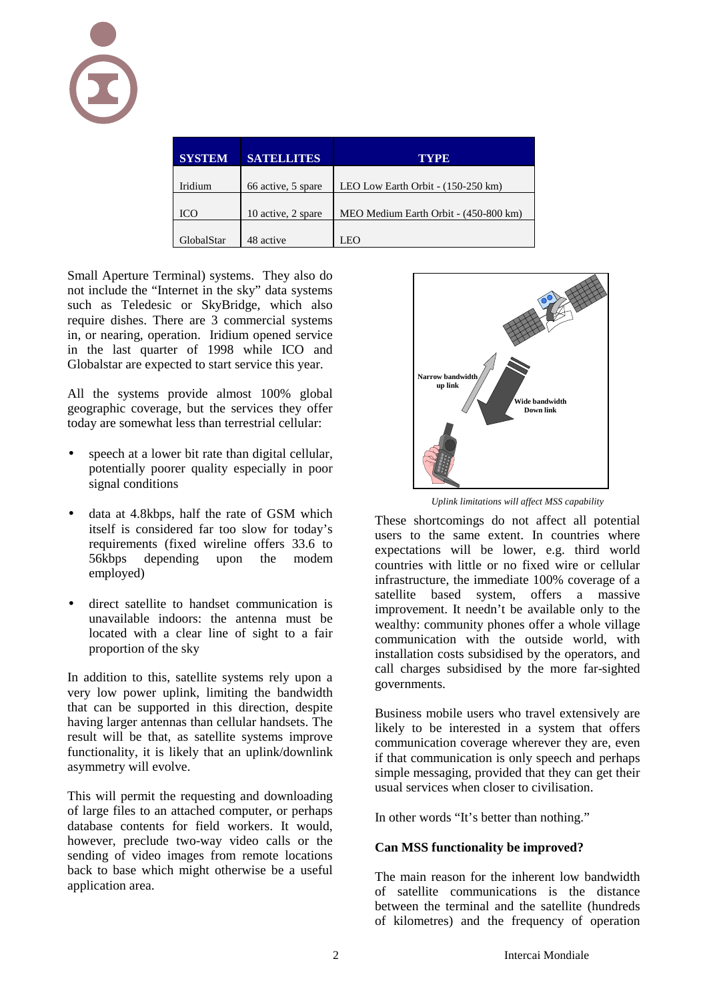| <b>SYSTEM</b> | <b>SATELLATES</b>  | TYPE                                  |
|---------------|--------------------|---------------------------------------|
|               |                    |                                       |
| Iridium       | 66 active, 5 spare | LEO Low Earth Orbit - (150-250 km)    |
|               |                    |                                       |
| ICO           | 10 active, 2 spare | MEO Medium Earth Orbit - (450-800 km) |
|               |                    |                                       |
| GlobalStar    | 48 active          | LEO                                   |

Small Aperture Terminal) systems. They also do not include the "Internet in the sky" data systems such as Teledesic or SkyBridge, which also require dishes. There are 3 commercial systems in, or nearing, operation. Iridium opened service in the last quarter of 1998 while ICO and Globalstar are expected to start service this year.

All the systems provide almost 100% global geographic coverage, but the services they offer today are somewhat less than terrestrial cellular:

- speech at a lower bit rate than digital cellular, potentially poorer quality especially in poor signal conditions
- data at 4.8kbps, half the rate of GSM which itself is considered far too slow for today's requirements (fixed wireline offers 33.6 to 56kbps depending upon the modem employed)
- direct satellite to handset communication is unavailable indoors: the antenna must be located with a clear line of sight to a fair proportion of the sky

In addition to this, satellite systems rely upon a very low power uplink, limiting the bandwidth that can be supported in this direction, despite having larger antennas than cellular handsets. The result will be that, as satellite systems improve functionality, it is likely that an uplink/downlink asymmetry will evolve.

This will permit the requesting and downloading of large files to an attached computer, or perhaps database contents for field workers. It would, however, preclude two-way video calls or the sending of video images from remote locations back to base which might otherwise be a useful application area.



*Uplink limitations will affect MSS capability*

These shortcomings do not affect all potential users to the same extent. In countries where expectations will be lower, e.g. third world countries with little or no fixed wire or cellular infrastructure, the immediate 100% coverage of a satellite based system, offers a massive improvement. It needn't be available only to the wealthy: community phones offer a whole village communication with the outside world, with installation costs subsidised by the operators, and call charges subsidised by the more far-sighted governments.

Business mobile users who travel extensively are likely to be interested in a system that offers communication coverage wherever they are, even if that communication is only speech and perhaps simple messaging, provided that they can get their usual services when closer to civilisation.

In other words "It's better than nothing."

# **Can MSS functionality be improved?**

The main reason for the inherent low bandwidth of satellite communications is the distance between the terminal and the satellite (hundreds of kilometres) and the frequency of operation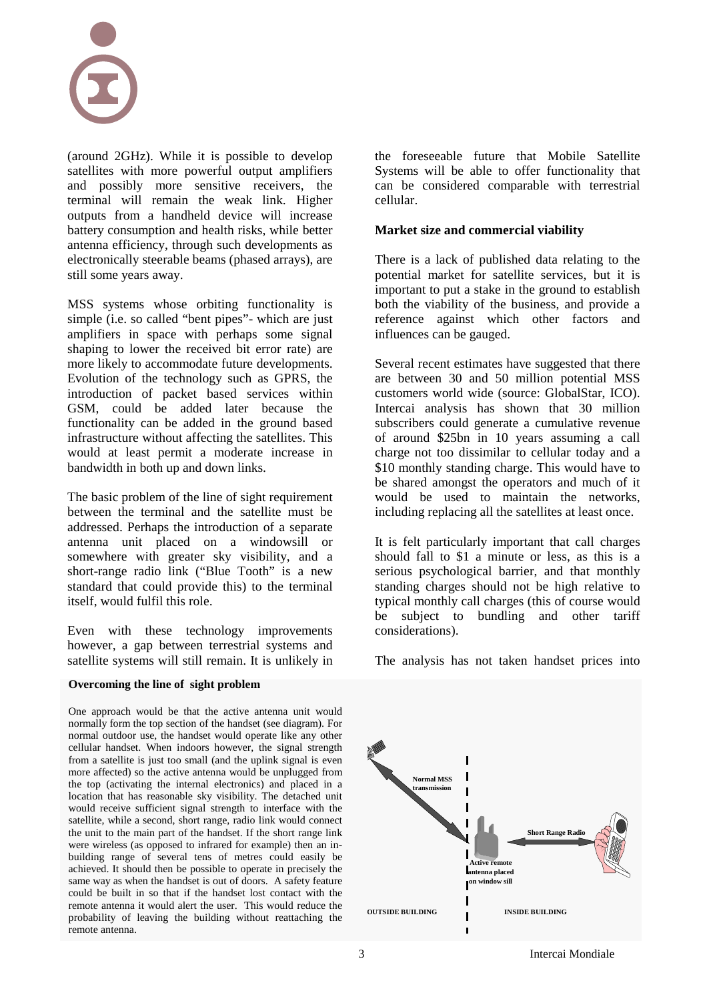

(around 2GHz). While it is possible to develop satellites with more powerful output amplifiers and possibly more sensitive receivers, the terminal will remain the weak link. Higher outputs from a handheld device will increase battery consumption and health risks, while better antenna efficiency, through such developments as electronically steerable beams (phased arrays), are still some years away.

MSS systems whose orbiting functionality is simple (i.e. so called "bent pipes"- which are just amplifiers in space with perhaps some signal shaping to lower the received bit error rate) are more likely to accommodate future developments. Evolution of the technology such as GPRS, the introduction of packet based services within GSM, could be added later because the functionality can be added in the ground based infrastructure without affecting the satellites. This would at least permit a moderate increase in bandwidth in both up and down links.

The basic problem of the line of sight requirement between the terminal and the satellite must be addressed. Perhaps the introduction of a separate antenna unit placed on a windowsill or somewhere with greater sky visibility, and a short-range radio link ("Blue Tooth" is a new standard that could provide this) to the terminal itself, would fulfil this role.

Even with these technology improvements however, a gap between terrestrial systems and satellite systems will still remain. It is unlikely in

#### **Overcoming the line of sight problem**

One approach would be that the active antenna unit would normally form the top section of the handset (see diagram). For normal outdoor use, the handset would operate like any other cellular handset. When indoors however, the signal strength from a satellite is just too small (and the uplink signal is even more affected) so the active antenna would be unplugged from the top (activating the internal electronics) and placed in a location that has reasonable sky visibility. The detached unit would receive sufficient signal strength to interface with the satellite, while a second, short range, radio link would connect the unit to the main part of the handset. If the short range link were wireless (as opposed to infrared for example) then an inbuilding range of several tens of metres could easily be achieved. It should then be possible to operate in precisely the same way as when the handset is out of doors. A safety feature could be built in so that if the handset lost contact with the remote antenna it would alert the user. This would reduce the probability of leaving the building without reattaching the remote antenna.

the foreseeable future that Mobile Satellite Systems will be able to offer functionality that can be considered comparable with terrestrial cellular.

## **Market size and commercial viability**

There is a lack of published data relating to the potential market for satellite services, but it is important to put a stake in the ground to establish both the viability of the business, and provide a reference against which other factors and influences can be gauged.

Several recent estimates have suggested that there are between 30 and 50 million potential MSS customers world wide (source: GlobalStar, ICO). Intercai analysis has shown that 30 million subscribers could generate a cumulative revenue of around \$25bn in 10 years assuming a call charge not too dissimilar to cellular today and a \$10 monthly standing charge. This would have to be shared amongst the operators and much of it would be used to maintain the networks, including replacing all the satellites at least once.

It is felt particularly important that call charges should fall to \$1 a minute or less, as this is a serious psychological barrier, and that monthly standing charges should not be high relative to typical monthly call charges (this of course would be subject to bundling and other tariff considerations).

The analysis has not taken handset prices into

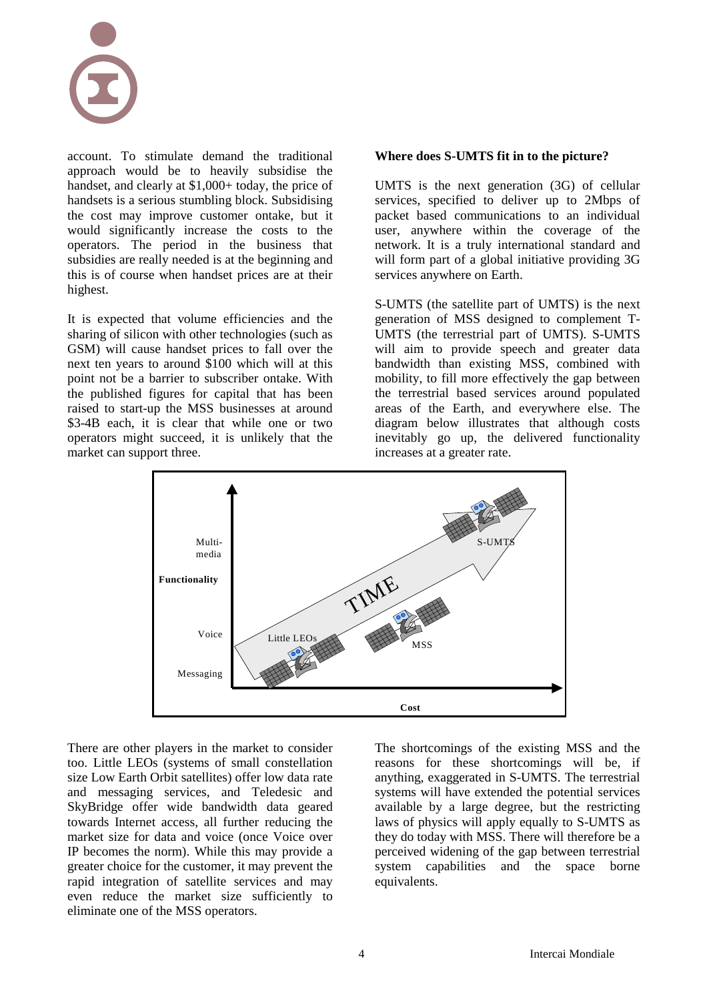

account. To stimulate demand the traditional approach would be to heavily subsidise the handset, and clearly at \$1,000+ today, the price of handsets is a serious stumbling block. Subsidising the cost may improve customer ontake, but it would significantly increase the costs to the operators. The period in the business that subsidies are really needed is at the beginning and this is of course when handset prices are at their highest.

It is expected that volume efficiencies and the sharing of silicon with other technologies (such as GSM) will cause handset prices to fall over the next ten years to around \$100 which will at this point not be a barrier to subscriber ontake. With the published figures for capital that has been raised to start-up the MSS businesses at around \$3-4B each, it is clear that while one or two operators might succeed, it is unlikely that the market can support three.

## **Where does S-UMTS fit in to the picture?**

UMTS is the next generation (3G) of cellular services, specified to deliver up to 2Mbps of packet based communications to an individual user, anywhere within the coverage of the network. It is a truly international standard and will form part of a global initiative providing 3G services anywhere on Earth.

S-UMTS (the satellite part of UMTS) is the next generation of MSS designed to complement T-UMTS (the terrestrial part of UMTS). S-UMTS will aim to provide speech and greater data bandwidth than existing MSS, combined with mobility, to fill more effectively the gap between the terrestrial based services around populated areas of the Earth, and everywhere else. The diagram below illustrates that although costs inevitably go up, the delivered functionality increases at a greater rate.



There are other players in the market to consider too. Little LEOs (systems of small constellation size Low Earth Orbit satellites) offer low data rate and messaging services, and Teledesic and SkyBridge offer wide bandwidth data geared towards Internet access, all further reducing the market size for data and voice (once Voice over IP becomes the norm). While this may provide a greater choice for the customer, it may prevent the rapid integration of satellite services and may even reduce the market size sufficiently to eliminate one of the MSS operators.

The shortcomings of the existing MSS and the reasons for these shortcomings will be, if anything, exaggerated in S-UMTS. The terrestrial systems will have extended the potential services available by a large degree, but the restricting laws of physics will apply equally to S-UMTS as they do today with MSS. There will therefore be a perceived widening of the gap between terrestrial system capabilities and the space borne equivalents.